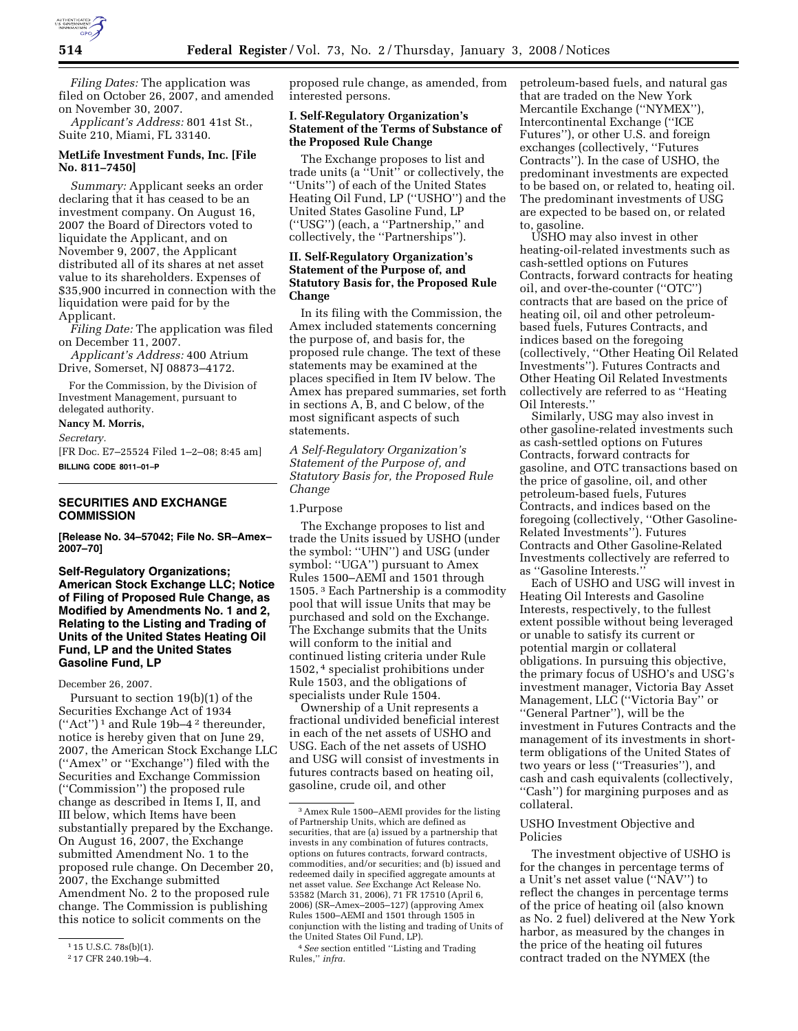

*Filing Dates:* The application was filed on October 26, 2007, and amended on November 30, 2007.

*Applicant's Address:* 801 41st St., Suite 210, Miami, FL 33140.

# **MetLife Investment Funds, Inc. [File No. 811–7450]**

*Summary:* Applicant seeks an order declaring that it has ceased to be an investment company. On August 16, 2007 the Board of Directors voted to liquidate the Applicant, and on November 9, 2007, the Applicant distributed all of its shares at net asset value to its shareholders. Expenses of \$35,900 incurred in connection with the liquidation were paid for by the Applicant.

*Filing Date:* The application was filed on December 11, 2007.

*Applicant's Address:* 400 Atrium Drive, Somerset, NJ 08873–4172.

For the Commission, by the Division of Investment Management, pursuant to delegated authority.

#### **Nancy M. Morris,**

*Secretary.* 

[FR Doc. E7–25524 Filed 1–2–08; 8:45 am] **BILLING CODE 8011–01–P** 

# **SECURITIES AND EXCHANGE COMMISSION**

**[Release No. 34–57042; File No. SR–Amex– 2007–70]** 

**Self-Regulatory Organizations; American Stock Exchange LLC; Notice of Filing of Proposed Rule Change, as Modified by Amendments No. 1 and 2, Relating to the Listing and Trading of Units of the United States Heating Oil Fund, LP and the United States Gasoline Fund, LP** 

#### December 26, 2007.

Pursuant to section 19(b)(1) of the Securities Exchange Act of 1934 (''Act'') 1 and Rule 19b–4 2 thereunder, notice is hereby given that on June 29, 2007, the American Stock Exchange LLC (''Amex'' or ''Exchange'') filed with the Securities and Exchange Commission (''Commission'') the proposed rule change as described in Items I, II, and III below, which Items have been substantially prepared by the Exchange. On August 16, 2007, the Exchange submitted Amendment No. 1 to the proposed rule change. On December 20, 2007, the Exchange submitted Amendment No. 2 to the proposed rule change. The Commission is publishing this notice to solicit comments on the

proposed rule change, as amended, from interested persons.

## **I. Self-Regulatory Organization's Statement of the Terms of Substance of the Proposed Rule Change**

The Exchange proposes to list and trade units (a ''Unit'' or collectively, the ''Units'') of each of the United States Heating Oil Fund, LP (''USHO'') and the United States Gasoline Fund, LP (''USG'') (each, a ''Partnership,'' and collectively, the ''Partnerships'').

# **II. Self-Regulatory Organization's Statement of the Purpose of, and Statutory Basis for, the Proposed Rule Change**

In its filing with the Commission, the Amex included statements concerning the purpose of, and basis for, the proposed rule change. The text of these statements may be examined at the places specified in Item IV below. The Amex has prepared summaries, set forth in sections A, B, and C below, of the most significant aspects of such statements.

*A Self-Regulatory Organization's Statement of the Purpose of, and Statutory Basis for, the Proposed Rule Change* 

# 1.Purpose

The Exchange proposes to list and trade the Units issued by USHO (under the symbol: ''UHN'') and USG (under symbol: ''UGA'') pursuant to Amex Rules 1500–AEMI and 1501 through 1505. 3 Each Partnership is a commodity pool that will issue Units that may be purchased and sold on the Exchange. The Exchange submits that the Units will conform to the initial and continued listing criteria under Rule 1502, 4 specialist prohibitions under Rule 1503, and the obligations of specialists under Rule 1504.

Ownership of a Unit represents a fractional undivided beneficial interest in each of the net assets of USHO and USG. Each of the net assets of USHO and USG will consist of investments in futures contracts based on heating oil, gasoline, crude oil, and other

petroleum-based fuels, and natural gas that are traded on the New York Mercantile Exchange (''NYMEX''), Intercontinental Exchange (''ICE Futures''), or other U.S. and foreign exchanges (collectively, ''Futures Contracts''). In the case of USHO, the predominant investments are expected to be based on, or related to, heating oil. The predominant investments of USG are expected to be based on, or related to, gasoline.

USHO may also invest in other heating-oil-related investments such as cash-settled options on Futures Contracts, forward contracts for heating oil, and over-the-counter (''OTC'') contracts that are based on the price of heating oil, oil and other petroleumbased fuels, Futures Contracts, and indices based on the foregoing (collectively, ''Other Heating Oil Related Investments''). Futures Contracts and Other Heating Oil Related Investments collectively are referred to as ''Heating Oil Interests.''

Similarly, USG may also invest in other gasoline-related investments such as cash-settled options on Futures Contracts, forward contracts for gasoline, and OTC transactions based on the price of gasoline, oil, and other petroleum-based fuels, Futures Contracts, and indices based on the foregoing (collectively, ''Other Gasoline-Related Investments''). Futures Contracts and Other Gasoline-Related Investments collectively are referred to as ''Gasoline Interests.''

Each of USHO and USG will invest in Heating Oil Interests and Gasoline Interests, respectively, to the fullest extent possible without being leveraged or unable to satisfy its current or potential margin or collateral obligations. In pursuing this objective, the primary focus of USHO's and USG's investment manager, Victoria Bay Asset Management, LLC (''Victoria Bay'' or ''General Partner''), will be the investment in Futures Contracts and the management of its investments in shortterm obligations of the United States of two years or less (''Treasuries''), and cash and cash equivalents (collectively, ''Cash'') for margining purposes and as collateral.

# USHO Investment Objective and Policies

The investment objective of USHO is for the changes in percentage terms of a Unit's net asset value (''NAV'') to reflect the changes in percentage terms of the price of heating oil (also known as No. 2 fuel) delivered at the New York harbor, as measured by the changes in the price of the heating oil futures contract traded on the NYMEX (the

 $115$  U.S.C. 78s(b)(1).

<sup>2</sup> 17 CFR 240.19b–4.

<sup>3</sup>Amex Rule 1500–AEMI provides for the listing of Partnership Units, which are defined as securities, that are (a) issued by a partnership that invests in any combination of futures contracts, options on futures contracts, forward contracts, commodities, and/or securities; and (b) issued and redeemed daily in specified aggregate amounts at net asset value. *See* Exchange Act Release No. 53582 (March 31, 2006), 71 FR 17510 (April 6, 2006) (SR–Amex–2005–127) (approving Amex Rules 1500–AEMI and 1501 through 1505 in conjunction with the listing and trading of Units of the United States Oil Fund, LP).

<sup>4</sup>*See* section entitled ''Listing and Trading Rules,'' *infra.*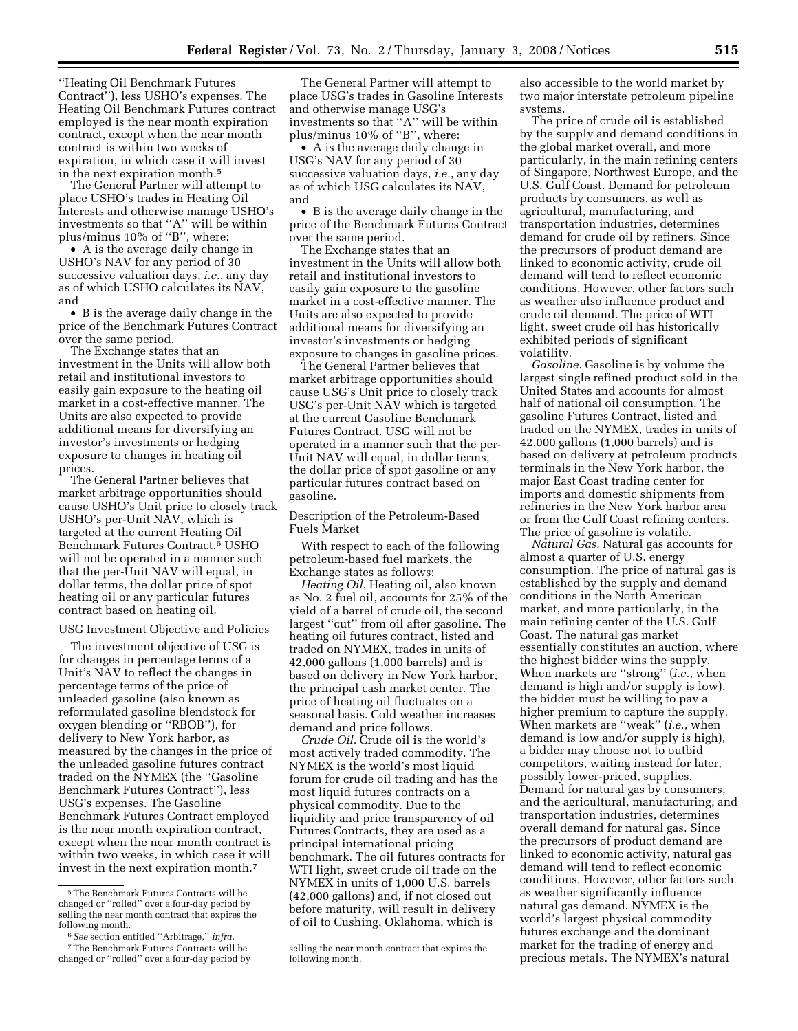''Heating Oil Benchmark Futures Contract''), less USHO's expenses. The Heating Oil Benchmark Futures contract employed is the near month expiration contract, except when the near month contract is within two weeks of expiration, in which case it will invest in the next expiration month.5

The General Partner will attempt to place USHO's trades in Heating Oil Interests and otherwise manage USHO's investments so that ''A'' will be within plus/minus 10% of ''B'', where:

• A is the average daily change in USHO's NAV for any period of 30 successive valuation days, *i.e.*, any day as of which USHO calculates its NAV, and

• B is the average daily change in the price of the Benchmark Futures Contract over the same period.

The Exchange states that an investment in the Units will allow both retail and institutional investors to easily gain exposure to the heating oil market in a cost-effective manner. The Units are also expected to provide additional means for diversifying an investor's investments or hedging exposure to changes in heating oil prices.

The General Partner believes that market arbitrage opportunities should cause USHO's Unit price to closely track USHO's per-Unit NAV, which is targeted at the current Heating Oil Benchmark Futures Contract.6 USHO will not be operated in a manner such that the per-Unit NAV will equal, in dollar terms, the dollar price of spot heating oil or any particular futures contract based on heating oil.

## USG Investment Objective and Policies

The investment objective of USG is for changes in percentage terms of a Unit's NAV to reflect the changes in percentage terms of the price of unleaded gasoline (also known as reformulated gasoline blendstock for oxygen blending or ''RBOB''), for delivery to New York harbor, as measured by the changes in the price of the unleaded gasoline futures contract traded on the NYMEX (the ''Gasoline Benchmark Futures Contract''), less USG's expenses. The Gasoline Benchmark Futures Contract employed is the near month expiration contract, except when the near month contract is within two weeks, in which case it will invest in the next expiration month.7

The General Partner will attempt to place USG's trades in Gasoline Interests and otherwise manage USG's investments so that ''A'' will be within plus/minus 10% of ''B'', where:

• A is the average daily change in USG's NAV for any period of 30 successive valuation days, *i.e.*, any day as of which USG calculates its NAV, and

• B is the average daily change in the price of the Benchmark Futures Contract over the same period.

The Exchange states that an investment in the Units will allow both retail and institutional investors to easily gain exposure to the gasoline market in a cost-effective manner. The Units are also expected to provide additional means for diversifying an investor's investments or hedging exposure to changes in gasoline prices.

The General Partner believes that market arbitrage opportunities should cause USG's Unit price to closely track USG's per-Unit NAV which is targeted at the current Gasoline Benchmark Futures Contract. USG will not be operated in a manner such that the per-Unit NAV will equal, in dollar terms, the dollar price of spot gasoline or any particular futures contract based on gasoline.

Description of the Petroleum-Based Fuels Market

With respect to each of the following petroleum-based fuel markets, the Exchange states as follows:

*Heating Oil.* Heating oil, also known as No. 2 fuel oil, accounts for 25% of the yield of a barrel of crude oil, the second largest ''cut'' from oil after gasoline. The heating oil futures contract, listed and traded on NYMEX, trades in units of 42,000 gallons (1,000 barrels) and is based on delivery in New York harbor, the principal cash market center. The price of heating oil fluctuates on a seasonal basis. Cold weather increases demand and price follows.

*Crude Oil.* Crude oil is the world's most actively traded commodity. The NYMEX is the world's most liquid forum for crude oil trading and has the most liquid futures contracts on a physical commodity. Due to the liquidity and price transparency of oil Futures Contracts, they are used as a principal international pricing benchmark. The oil futures contracts for WTI light, sweet crude oil trade on the NYMEX in units of 1,000 U.S. barrels (42,000 gallons) and, if not closed out before maturity, will result in delivery of oil to Cushing, Oklahoma, which is

also accessible to the world market by two major interstate petroleum pipeline systems.

The price of crude oil is established by the supply and demand conditions in the global market overall, and more particularly, in the main refining centers of Singapore, Northwest Europe, and the U.S. Gulf Coast. Demand for petroleum products by consumers, as well as agricultural, manufacturing, and transportation industries, determines demand for crude oil by refiners. Since the precursors of product demand are linked to economic activity, crude oil demand will tend to reflect economic conditions. However, other factors such as weather also influence product and crude oil demand. The price of WTI light, sweet crude oil has historically exhibited periods of significant volatility.

*Gasoline.* Gasoline is by volume the largest single refined product sold in the United States and accounts for almost half of national oil consumption. The gasoline Futures Contract, listed and traded on the NYMEX, trades in units of 42,000 gallons (1,000 barrels) and is based on delivery at petroleum products terminals in the New York harbor, the major East Coast trading center for imports and domestic shipments from refineries in the New York harbor area or from the Gulf Coast refining centers. The price of gasoline is volatile.

*Natural Gas.* Natural gas accounts for almost a quarter of U.S. energy consumption. The price of natural gas is established by the supply and demand conditions in the North American market, and more particularly, in the main refining center of the U.S. Gulf Coast. The natural gas market essentially constitutes an auction, where the highest bidder wins the supply. When markets are ''strong'' (*i.e.*, when demand is high and/or supply is low), the bidder must be willing to pay a higher premium to capture the supply. When markets are ''weak'' (*i.e.*, when demand is low and/or supply is high), a bidder may choose not to outbid competitors, waiting instead for later, possibly lower-priced, supplies. Demand for natural gas by consumers, and the agricultural, manufacturing, and transportation industries, determines overall demand for natural gas. Since the precursors of product demand are linked to economic activity, natural gas demand will tend to reflect economic conditions. However, other factors such as weather significantly influence natural gas demand. NYMEX is the world's largest physical commodity futures exchange and the dominant market for the trading of energy and precious metals. The NYMEX's natural

<sup>5</sup>The Benchmark Futures Contracts will be changed or ''rolled'' over a four-day period by selling the near month contract that expires the following month.

<sup>6</sup>*See* section entitled ''Arbitrage,'' *infra.* 

<sup>7</sup>The Benchmark Futures Contracts will be changed or ''rolled'' over a four-day period by

selling the near month contract that expires the following month.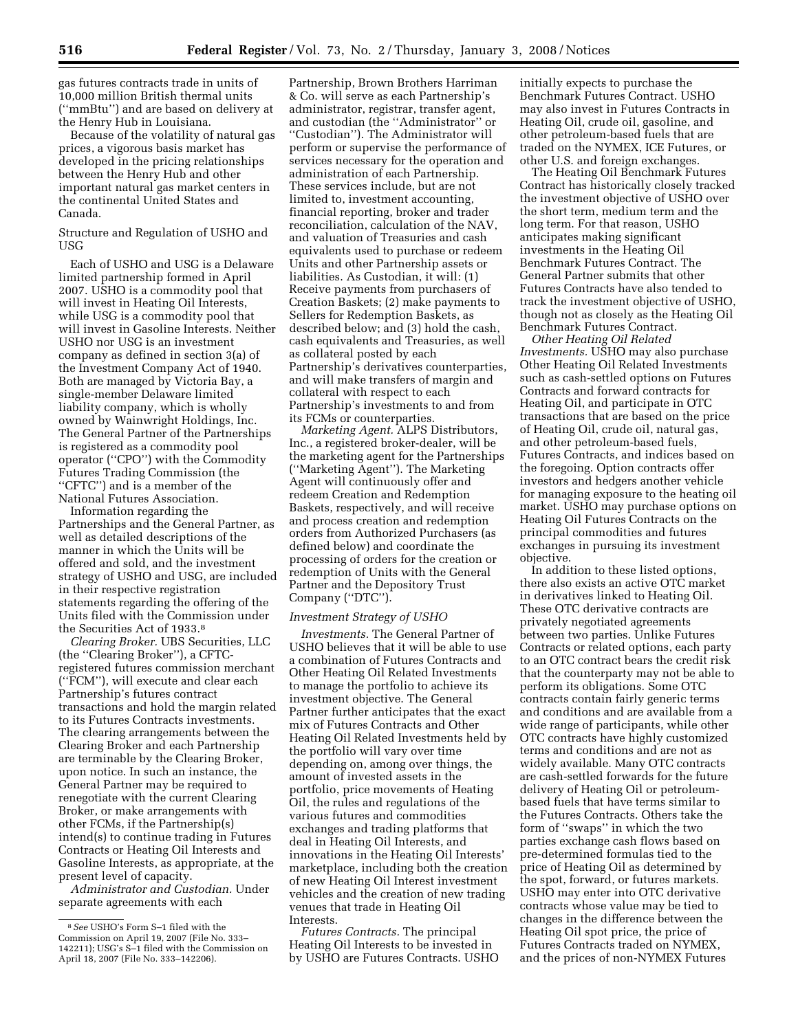gas futures contracts trade in units of 10,000 million British thermal units (''mmBtu'') and are based on delivery at the Henry Hub in Louisiana.

Because of the volatility of natural gas prices, a vigorous basis market has developed in the pricing relationships between the Henry Hub and other important natural gas market centers in the continental United States and Canada.

## Structure and Regulation of USHO and USG

Each of USHO and USG is a Delaware limited partnership formed in April 2007. USHO is a commodity pool that will invest in Heating Oil Interests, while USG is a commodity pool that will invest in Gasoline Interests. Neither USHO nor USG is an investment company as defined in section 3(a) of the Investment Company Act of 1940. Both are managed by Victoria Bay, a single-member Delaware limited liability company, which is wholly owned by Wainwright Holdings, Inc. The General Partner of the Partnerships is registered as a commodity pool operator (''CPO'') with the Commodity Futures Trading Commission (the ''CFTC'') and is a member of the National Futures Association.

Information regarding the Partnerships and the General Partner, as well as detailed descriptions of the manner in which the Units will be offered and sold, and the investment strategy of USHO and USG, are included in their respective registration statements regarding the offering of the Units filed with the Commission under the Securities Act of 1933.8

*Clearing Broker.* UBS Securities, LLC (the ''Clearing Broker''), a CFTCregistered futures commission merchant (''FCM''), will execute and clear each Partnership's futures contract transactions and hold the margin related to its Futures Contracts investments. The clearing arrangements between the Clearing Broker and each Partnership are terminable by the Clearing Broker, upon notice. In such an instance, the General Partner may be required to renegotiate with the current Clearing Broker, or make arrangements with other FCMs, if the Partnership(s) intend(s) to continue trading in Futures Contracts or Heating Oil Interests and Gasoline Interests, as appropriate, at the present level of capacity.

*Administrator and Custodian.* Under separate agreements with each

Partnership, Brown Brothers Harriman & Co. will serve as each Partnership's administrator, registrar, transfer agent, and custodian (the ''Administrator'' or ''Custodian''). The Administrator will perform or supervise the performance of services necessary for the operation and administration of each Partnership. These services include, but are not limited to, investment accounting, financial reporting, broker and trader reconciliation, calculation of the NAV, and valuation of Treasuries and cash equivalents used to purchase or redeem Units and other Partnership assets or liabilities. As Custodian, it will: (1) Receive payments from purchasers of Creation Baskets; (2) make payments to Sellers for Redemption Baskets, as described below; and (3) hold the cash, cash equivalents and Treasuries, as well as collateral posted by each Partnership's derivatives counterparties, and will make transfers of margin and collateral with respect to each Partnership's investments to and from its FCMs or counterparties.

*Marketing Agent.* ALPS Distributors, Inc., a registered broker-dealer, will be the marketing agent for the Partnerships (''Marketing Agent''). The Marketing Agent will continuously offer and redeem Creation and Redemption Baskets, respectively, and will receive and process creation and redemption orders from Authorized Purchasers (as defined below) and coordinate the processing of orders for the creation or redemption of Units with the General Partner and the Depository Trust Company (''DTC'').

#### *Investment Strategy of USHO*

*Investments.* The General Partner of USHO believes that it will be able to use a combination of Futures Contracts and Other Heating Oil Related Investments to manage the portfolio to achieve its investment objective. The General Partner further anticipates that the exact mix of Futures Contracts and Other Heating Oil Related Investments held by the portfolio will vary over time depending on, among over things, the amount of invested assets in the portfolio, price movements of Heating Oil, the rules and regulations of the various futures and commodities exchanges and trading platforms that deal in Heating Oil Interests, and innovations in the Heating Oil Interests' marketplace, including both the creation of new Heating Oil Interest investment vehicles and the creation of new trading venues that trade in Heating Oil Interests.

*Futures Contracts.* The principal Heating Oil Interests to be invested in by USHO are Futures Contracts. USHO initially expects to purchase the Benchmark Futures Contract. USHO may also invest in Futures Contracts in Heating Oil, crude oil, gasoline, and other petroleum-based fuels that are traded on the NYMEX, ICE Futures, or other U.S. and foreign exchanges.

The Heating Oil Benchmark Futures Contract has historically closely tracked the investment objective of USHO over the short term, medium term and the long term. For that reason, USHO anticipates making significant investments in the Heating Oil Benchmark Futures Contract. The General Partner submits that other Futures Contracts have also tended to track the investment objective of USHO, though not as closely as the Heating Oil Benchmark Futures Contract.

*Other Heating Oil Related Investments.* USHO may also purchase Other Heating Oil Related Investments such as cash-settled options on Futures Contracts and forward contracts for Heating Oil, and participate in OTC transactions that are based on the price of Heating Oil, crude oil, natural gas, and other petroleum-based fuels, Futures Contracts, and indices based on the foregoing. Option contracts offer investors and hedgers another vehicle for managing exposure to the heating oil market. USHO may purchase options on Heating Oil Futures Contracts on the principal commodities and futures exchanges in pursuing its investment objective.

In addition to these listed options, there also exists an active OTC market in derivatives linked to Heating Oil. These OTC derivative contracts are privately negotiated agreements between two parties. Unlike Futures Contracts or related options, each party to an OTC contract bears the credit risk that the counterparty may not be able to perform its obligations. Some OTC contracts contain fairly generic terms and conditions and are available from a wide range of participants, while other OTC contracts have highly customized terms and conditions and are not as widely available. Many OTC contracts are cash-settled forwards for the future delivery of Heating Oil or petroleumbased fuels that have terms similar to the Futures Contracts. Others take the form of ''swaps'' in which the two parties exchange cash flows based on pre-determined formulas tied to the price of Heating Oil as determined by the spot, forward, or futures markets. USHO may enter into OTC derivative contracts whose value may be tied to changes in the difference between the Heating Oil spot price, the price of Futures Contracts traded on NYMEX, and the prices of non-NYMEX Futures

<sup>8</sup>*See* USHO's Form S–1 filed with the Commission on April 19, 2007 (File No. 333– 142211); USG's S–1 filed with the Commission on April 18, 2007 (File No. 333–142206).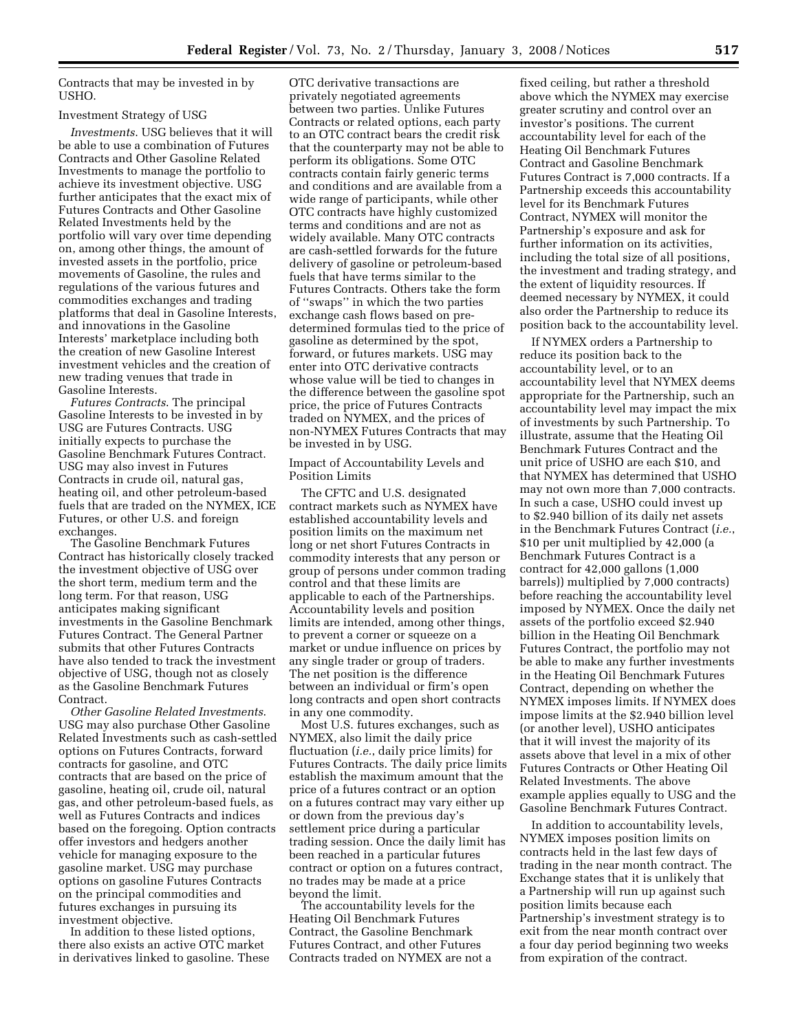Contracts that may be invested in by USHO.

#### Investment Strategy of USG

*Investments*. USG believes that it will be able to use a combination of Futures Contracts and Other Gasoline Related Investments to manage the portfolio to achieve its investment objective. USG further anticipates that the exact mix of Futures Contracts and Other Gasoline Related Investments held by the portfolio will vary over time depending on, among other things, the amount of invested assets in the portfolio, price movements of Gasoline, the rules and regulations of the various futures and commodities exchanges and trading platforms that deal in Gasoline Interests, and innovations in the Gasoline Interests' marketplace including both the creation of new Gasoline Interest investment vehicles and the creation of new trading venues that trade in Gasoline Interests.

*Futures Contracts*. The principal Gasoline Interests to be invested in by USG are Futures Contracts. USG initially expects to purchase the Gasoline Benchmark Futures Contract. USG may also invest in Futures Contracts in crude oil, natural gas, heating oil, and other petroleum-based fuels that are traded on the NYMEX, ICE Futures, or other U.S. and foreign exchanges.

The Gasoline Benchmark Futures Contract has historically closely tracked the investment objective of USG over the short term, medium term and the long term. For that reason, USG anticipates making significant investments in the Gasoline Benchmark Futures Contract. The General Partner submits that other Futures Contracts have also tended to track the investment objective of USG, though not as closely as the Gasoline Benchmark Futures Contract.

*Other Gasoline Related Investments*. USG may also purchase Other Gasoline Related Investments such as cash-settled options on Futures Contracts, forward contracts for gasoline, and OTC contracts that are based on the price of gasoline, heating oil, crude oil, natural gas, and other petroleum-based fuels, as well as Futures Contracts and indices based on the foregoing. Option contracts offer investors and hedgers another vehicle for managing exposure to the gasoline market. USG may purchase options on gasoline Futures Contracts on the principal commodities and futures exchanges in pursuing its investment objective.

In addition to these listed options, there also exists an active OTC market in derivatives linked to gasoline. These

OTC derivative transactions are privately negotiated agreements between two parties. Unlike Futures Contracts or related options, each party to an OTC contract bears the credit risk that the counterparty may not be able to perform its obligations. Some OTC contracts contain fairly generic terms and conditions and are available from a wide range of participants, while other OTC contracts have highly customized terms and conditions and are not as widely available. Many OTC contracts are cash-settled forwards for the future delivery of gasoline or petroleum-based fuels that have terms similar to the Futures Contracts. Others take the form of ''swaps'' in which the two parties exchange cash flows based on predetermined formulas tied to the price of gasoline as determined by the spot, forward, or futures markets. USG may enter into OTC derivative contracts whose value will be tied to changes in the difference between the gasoline spot price, the price of Futures Contracts traded on NYMEX, and the prices of non-NYMEX Futures Contracts that may be invested in by USG.

Impact of Accountability Levels and Position Limits

The CFTC and U.S. designated contract markets such as NYMEX have established accountability levels and position limits on the maximum net long or net short Futures Contracts in commodity interests that any person or group of persons under common trading control and that these limits are applicable to each of the Partnerships. Accountability levels and position limits are intended, among other things, to prevent a corner or squeeze on a market or undue influence on prices by any single trader or group of traders. The net position is the difference between an individual or firm's open long contracts and open short contracts in any one commodity.

Most U.S. futures exchanges, such as NYMEX, also limit the daily price fluctuation (*i.e.*, daily price limits) for Futures Contracts. The daily price limits establish the maximum amount that the price of a futures contract or an option on a futures contract may vary either up or down from the previous day's settlement price during a particular trading session. Once the daily limit has been reached in a particular futures contract or option on a futures contract, no trades may be made at a price beyond the limit.

The accountability levels for the Heating Oil Benchmark Futures Contract, the Gasoline Benchmark Futures Contract, and other Futures Contracts traded on NYMEX are not a

fixed ceiling, but rather a threshold above which the NYMEX may exercise greater scrutiny and control over an investor's positions. The current accountability level for each of the Heating Oil Benchmark Futures Contract and Gasoline Benchmark Futures Contract is 7,000 contracts. If a Partnership exceeds this accountability level for its Benchmark Futures Contract, NYMEX will monitor the Partnership's exposure and ask for further information on its activities, including the total size of all positions, the investment and trading strategy, and the extent of liquidity resources. If deemed necessary by NYMEX, it could also order the Partnership to reduce its position back to the accountability level.

If NYMEX orders a Partnership to reduce its position back to the accountability level, or to an accountability level that NYMEX deems appropriate for the Partnership, such an accountability level may impact the mix of investments by such Partnership. To illustrate, assume that the Heating Oil Benchmark Futures Contract and the unit price of USHO are each \$10, and that NYMEX has determined that USHO may not own more than 7,000 contracts. In such a case, USHO could invest up to \$2.940 billion of its daily net assets in the Benchmark Futures Contract (*i.e.*, \$10 per unit multiplied by 42,000 (a Benchmark Futures Contract is a contract for 42,000 gallons (1,000 barrels)) multiplied by 7,000 contracts) before reaching the accountability level imposed by NYMEX. Once the daily net assets of the portfolio exceed \$2.940 billion in the Heating Oil Benchmark Futures Contract, the portfolio may not be able to make any further investments in the Heating Oil Benchmark Futures Contract, depending on whether the NYMEX imposes limits. If NYMEX does impose limits at the \$2.940 billion level (or another level), USHO anticipates that it will invest the majority of its assets above that level in a mix of other Futures Contracts or Other Heating Oil Related Investments. The above example applies equally to USG and the Gasoline Benchmark Futures Contract.

In addition to accountability levels, NYMEX imposes position limits on contracts held in the last few days of trading in the near month contract. The Exchange states that it is unlikely that a Partnership will run up against such position limits because each Partnership's investment strategy is to exit from the near month contract over a four day period beginning two weeks from expiration of the contract.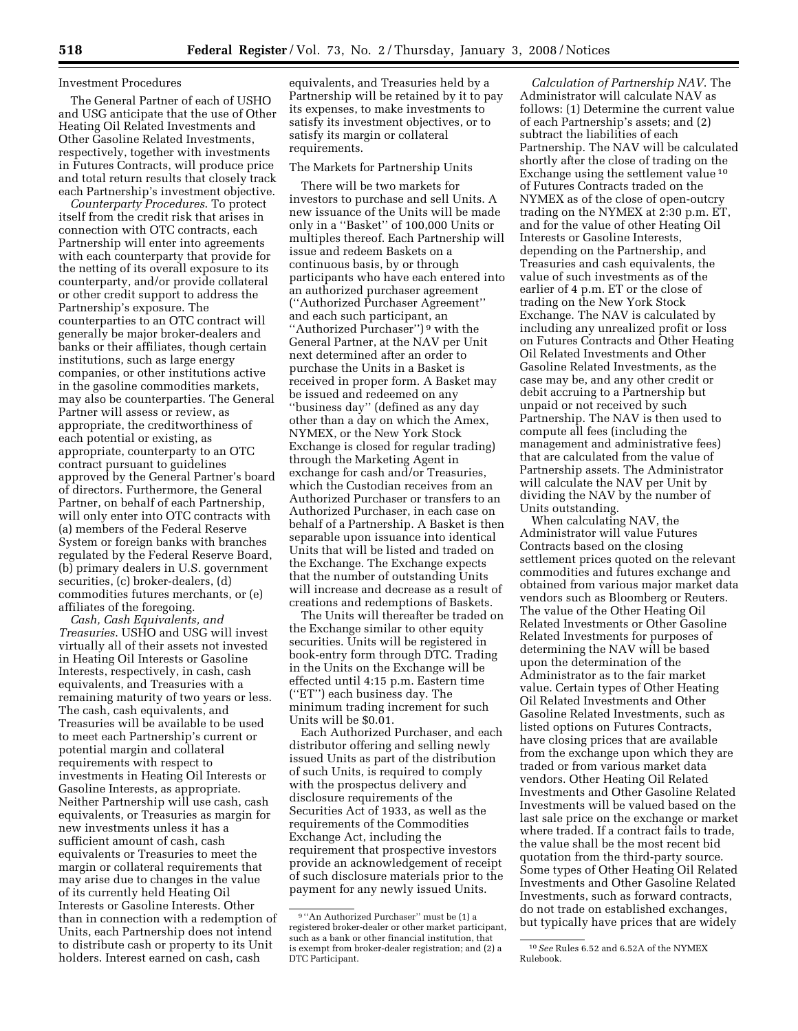## Investment Procedures

The General Partner of each of USHO and USG anticipate that the use of Other Heating Oil Related Investments and Other Gasoline Related Investments, respectively, together with investments in Futures Contracts, will produce price and total return results that closely track each Partnership's investment objective.

*Counterparty Procedures*. To protect itself from the credit risk that arises in connection with OTC contracts, each Partnership will enter into agreements with each counterparty that provide for the netting of its overall exposure to its counterparty, and/or provide collateral or other credit support to address the Partnership's exposure. The counterparties to an OTC contract will generally be major broker-dealers and banks or their affiliates, though certain institutions, such as large energy companies, or other institutions active in the gasoline commodities markets, may also be counterparties. The General Partner will assess or review, as appropriate, the creditworthiness of each potential or existing, as appropriate, counterparty to an OTC contract pursuant to guidelines approved by the General Partner's board of directors. Furthermore, the General Partner, on behalf of each Partnership, will only enter into OTC contracts with (a) members of the Federal Reserve System or foreign banks with branches regulated by the Federal Reserve Board, (b) primary dealers in U.S. government securities, (c) broker-dealers, (d) commodities futures merchants, or (e) affiliates of the foregoing.

*Cash, Cash Equivalents, and Treasuries*. USHO and USG will invest virtually all of their assets not invested in Heating Oil Interests or Gasoline Interests, respectively, in cash, cash equivalents, and Treasuries with a remaining maturity of two years or less. The cash, cash equivalents, and Treasuries will be available to be used to meet each Partnership's current or potential margin and collateral requirements with respect to investments in Heating Oil Interests or Gasoline Interests, as appropriate. Neither Partnership will use cash, cash equivalents, or Treasuries as margin for new investments unless it has a sufficient amount of cash, cash equivalents or Treasuries to meet the margin or collateral requirements that may arise due to changes in the value of its currently held Heating Oil Interests or Gasoline Interests. Other than in connection with a redemption of Units, each Partnership does not intend to distribute cash or property to its Unit holders. Interest earned on cash, cash

equivalents, and Treasuries held by a Partnership will be retained by it to pay its expenses, to make investments to satisfy its investment objectives, or to satisfy its margin or collateral requirements.

### The Markets for Partnership Units

There will be two markets for investors to purchase and sell Units. A new issuance of the Units will be made only in a ''Basket'' of 100,000 Units or multiples thereof. Each Partnership will issue and redeem Baskets on a continuous basis, by or through participants who have each entered into an authorized purchaser agreement (''Authorized Purchaser Agreement'' and each such participant, an ''Authorized Purchaser'') 9 with the General Partner, at the NAV per Unit next determined after an order to purchase the Units in a Basket is received in proper form. A Basket may be issued and redeemed on any ''business day'' (defined as any day other than a day on which the Amex, NYMEX, or the New York Stock Exchange is closed for regular trading) through the Marketing Agent in exchange for cash and/or Treasuries, which the Custodian receives from an Authorized Purchaser or transfers to an Authorized Purchaser, in each case on behalf of a Partnership. A Basket is then separable upon issuance into identical Units that will be listed and traded on the Exchange. The Exchange expects that the number of outstanding Units will increase and decrease as a result of creations and redemptions of Baskets.

The Units will thereafter be traded on the Exchange similar to other equity securities. Units will be registered in book-entry form through DTC. Trading in the Units on the Exchange will be effected until 4:15 p.m. Eastern time (''ET'') each business day. The minimum trading increment for such Units will be \$0.01.

Each Authorized Purchaser, and each distributor offering and selling newly issued Units as part of the distribution of such Units, is required to comply with the prospectus delivery and disclosure requirements of the Securities Act of 1933, as well as the requirements of the Commodities Exchange Act, including the requirement that prospective investors provide an acknowledgement of receipt of such disclosure materials prior to the payment for any newly issued Units.

*Calculation of Partnership NAV*. The Administrator will calculate NAV as follows: (1) Determine the current value of each Partnership's assets; and (2) subtract the liabilities of each Partnership. The NAV will be calculated shortly after the close of trading on the Exchange using the settlement value 10 of Futures Contracts traded on the NYMEX as of the close of open-outcry trading on the NYMEX at 2:30 p.m. ET, and for the value of other Heating Oil Interests or Gasoline Interests, depending on the Partnership, and Treasuries and cash equivalents, the value of such investments as of the earlier of 4 p.m. ET or the close of trading on the New York Stock Exchange. The NAV is calculated by including any unrealized profit or loss on Futures Contracts and Other Heating Oil Related Investments and Other Gasoline Related Investments, as the case may be, and any other credit or debit accruing to a Partnership but unpaid or not received by such Partnership. The NAV is then used to compute all fees (including the management and administrative fees) that are calculated from the value of Partnership assets. The Administrator will calculate the NAV per Unit by dividing the NAV by the number of Units outstanding.

When calculating NAV, the Administrator will value Futures Contracts based on the closing settlement prices quoted on the relevant commodities and futures exchange and obtained from various major market data vendors such as Bloomberg or Reuters. The value of the Other Heating Oil Related Investments or Other Gasoline Related Investments for purposes of determining the NAV will be based upon the determination of the Administrator as to the fair market value. Certain types of Other Heating Oil Related Investments and Other Gasoline Related Investments, such as listed options on Futures Contracts, have closing prices that are available from the exchange upon which they are traded or from various market data vendors. Other Heating Oil Related Investments and Other Gasoline Related Investments will be valued based on the last sale price on the exchange or market where traded. If a contract fails to trade, the value shall be the most recent bid quotation from the third-party source. Some types of Other Heating Oil Related Investments and Other Gasoline Related Investments, such as forward contracts, do not trade on established exchanges, but typically have prices that are widely

<sup>9</sup> ''An Authorized Purchaser'' must be (1) a registered broker-dealer or other market participant, such as a bank or other financial institution, that is exempt from broker-dealer registration; and (2) a DTC Participant.

<sup>10</sup>*See* Rules 6.52 and 6.52A of the NYMEX Rulebook.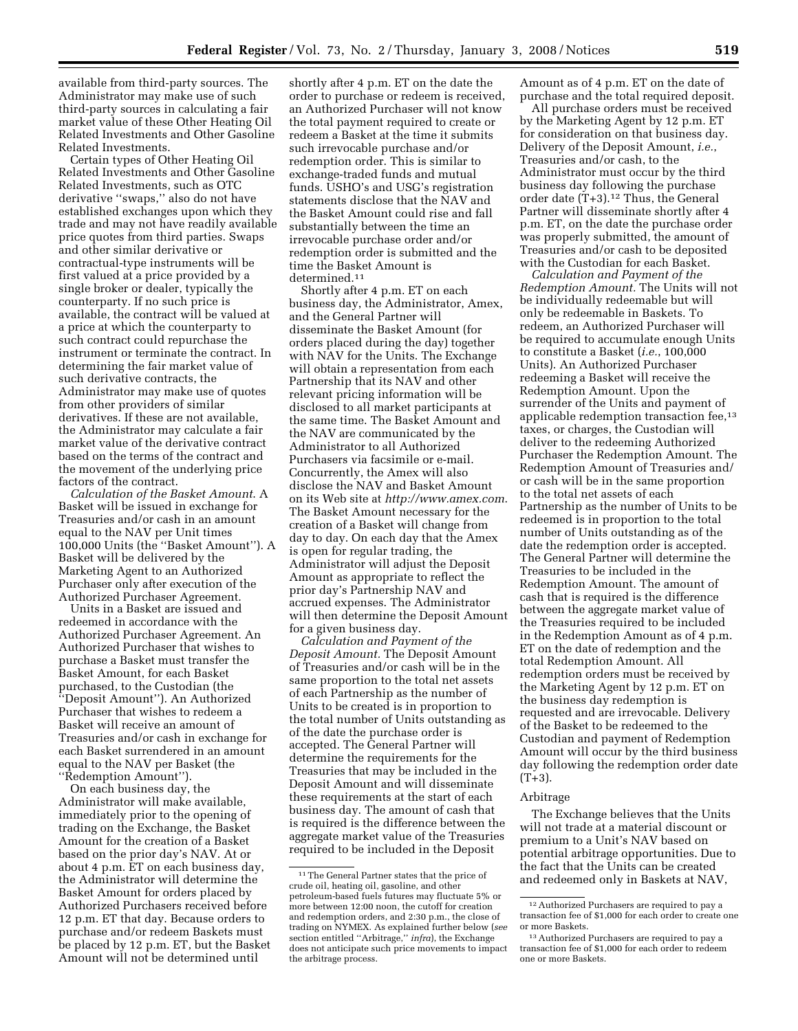available from third-party sources. The Administrator may make use of such third-party sources in calculating a fair market value of these Other Heating Oil Related Investments and Other Gasoline Related Investments.

Certain types of Other Heating Oil Related Investments and Other Gasoline Related Investments, such as OTC derivative ''swaps,'' also do not have established exchanges upon which they trade and may not have readily available price quotes from third parties. Swaps and other similar derivative or contractual-type instruments will be first valued at a price provided by a single broker or dealer, typically the counterparty. If no such price is available, the contract will be valued at a price at which the counterparty to such contract could repurchase the instrument or terminate the contract. In determining the fair market value of such derivative contracts, the Administrator may make use of quotes from other providers of similar derivatives. If these are not available, the Administrator may calculate a fair market value of the derivative contract based on the terms of the contract and the movement of the underlying price factors of the contract.

*Calculation of the Basket Amount*. A Basket will be issued in exchange for Treasuries and/or cash in an amount equal to the NAV per Unit times 100,000 Units (the ''Basket Amount''). A Basket will be delivered by the Marketing Agent to an Authorized Purchaser only after execution of the Authorized Purchaser Agreement.

Units in a Basket are issued and redeemed in accordance with the Authorized Purchaser Agreement. An Authorized Purchaser that wishes to purchase a Basket must transfer the Basket Amount, for each Basket purchased, to the Custodian (the ''Deposit Amount''). An Authorized Purchaser that wishes to redeem a Basket will receive an amount of Treasuries and/or cash in exchange for each Basket surrendered in an amount equal to the NAV per Basket (the ''Redemption Amount'').

On each business day, the Administrator will make available, immediately prior to the opening of trading on the Exchange, the Basket Amount for the creation of a Basket based on the prior day's NAV. At or about 4 p.m. ET on each business day, the Administrator will determine the Basket Amount for orders placed by Authorized Purchasers received before 12 p.m. ET that day. Because orders to purchase and/or redeem Baskets must be placed by 12 p.m. ET, but the Basket Amount will not be determined until

shortly after 4 p.m. ET on the date the order to purchase or redeem is received, an Authorized Purchaser will not know the total payment required to create or redeem a Basket at the time it submits such irrevocable purchase and/or redemption order. This is similar to exchange-traded funds and mutual funds. USHO's and USG's registration statements disclose that the NAV and the Basket Amount could rise and fall substantially between the time an irrevocable purchase order and/or redemption order is submitted and the time the Basket Amount is determined.<sup>11</sup>

Shortly after 4 p.m. ET on each business day, the Administrator, Amex, and the General Partner will disseminate the Basket Amount (for orders placed during the day) together with NAV for the Units. The Exchange will obtain a representation from each Partnership that its NAV and other relevant pricing information will be disclosed to all market participants at the same time. The Basket Amount and the NAV are communicated by the Administrator to all Authorized Purchasers via facsimile or e-mail. Concurrently, the Amex will also disclose the NAV and Basket Amount on its Web site at *http://www.amex.com*. The Basket Amount necessary for the creation of a Basket will change from day to day. On each day that the Amex is open for regular trading, the Administrator will adjust the Deposit Amount as appropriate to reflect the prior day's Partnership NAV and accrued expenses. The Administrator will then determine the Deposit Amount for a given business day.

*Calculation and Payment of the Deposit Amount.* The Deposit Amount of Treasuries and/or cash will be in the same proportion to the total net assets of each Partnership as the number of Units to be created is in proportion to the total number of Units outstanding as of the date the purchase order is accepted. The General Partner will determine the requirements for the Treasuries that may be included in the Deposit Amount and will disseminate these requirements at the start of each business day. The amount of cash that is required is the difference between the aggregate market value of the Treasuries required to be included in the Deposit

Amount as of 4 p.m. ET on the date of purchase and the total required deposit.

All purchase orders must be received by the Marketing Agent by 12 p.m. ET for consideration on that business day. Delivery of the Deposit Amount, *i.e.*, Treasuries and/or cash, to the Administrator must occur by the third business day following the purchase order date (T+3).12 Thus, the General Partner will disseminate shortly after 4 p.m. ET, on the date the purchase order was properly submitted, the amount of Treasuries and/or cash to be deposited with the Custodian for each Basket.

*Calculation and Payment of the Redemption Amount.* The Units will not be individually redeemable but will only be redeemable in Baskets. To redeem, an Authorized Purchaser will be required to accumulate enough Units to constitute a Basket (*i.e.*, 100,000 Units). An Authorized Purchaser redeeming a Basket will receive the Redemption Amount. Upon the surrender of the Units and payment of applicable redemption transaction fee,13 taxes, or charges, the Custodian will deliver to the redeeming Authorized Purchaser the Redemption Amount. The Redemption Amount of Treasuries and/ or cash will be in the same proportion to the total net assets of each Partnership as the number of Units to be redeemed is in proportion to the total number of Units outstanding as of the date the redemption order is accepted. The General Partner will determine the Treasuries to be included in the Redemption Amount. The amount of cash that is required is the difference between the aggregate market value of the Treasuries required to be included in the Redemption Amount as of 4 p.m. ET on the date of redemption and the total Redemption Amount. All redemption orders must be received by the Marketing Agent by 12 p.m. ET on the business day redemption is requested and are irrevocable. Delivery of the Basket to be redeemed to the Custodian and payment of Redemption Amount will occur by the third business day following the redemption order date  $(T+3)$ .

#### Arbitrage

The Exchange believes that the Units will not trade at a material discount or premium to a Unit's NAV based on potential arbitrage opportunities. Due to the fact that the Units can be created and redeemed only in Baskets at NAV,

<sup>&</sup>lt;sup>11</sup>The General Partner states that the price of crude oil, heating oil, gasoline, and other petroleum-based fuels futures may fluctuate 5% or more between 12:00 noon, the cutoff for creation and redemption orders, and 2:30 p.m., the close of trading on NYMEX. As explained further below (*see*  section entitled ''Arbitrage,'' *infra*), the Exchange does not anticipate such price movements to impact the arbitrage process.

<sup>12</sup>Authorized Purchasers are required to pay a transaction fee of \$1,000 for each order to create one or more Baskets.

<sup>13</sup>Authorized Purchasers are required to pay a transaction fee of \$1,000 for each order to redeem one or more Baskets.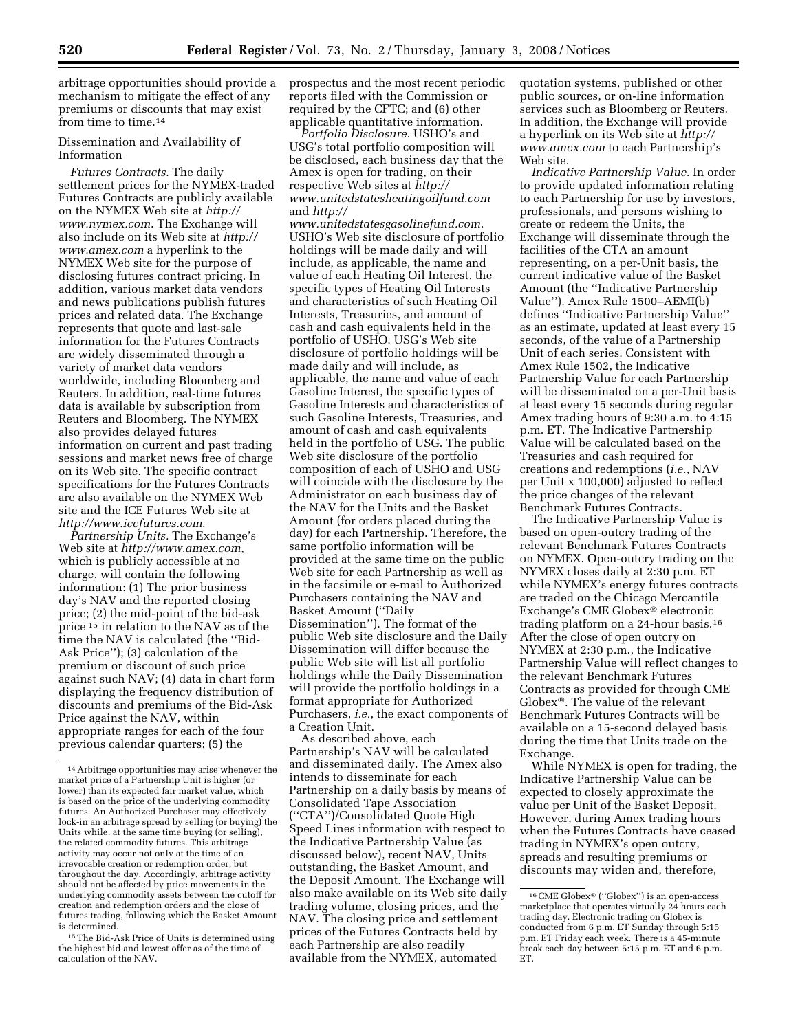arbitrage opportunities should provide a mechanism to mitigate the effect of any premiums or discounts that may exist from time to time.<sup>14</sup>

Dissemination and Availability of Information

*Futures Contracts.* The daily settlement prices for the NYMEX-traded Futures Contracts are publicly available on the NYMEX Web site at *http:// www.nymex.com*. The Exchange will also include on its Web site at *http:// www.amex.com* a hyperlink to the NYMEX Web site for the purpose of disclosing futures contract pricing. In addition, various market data vendors and news publications publish futures prices and related data. The Exchange represents that quote and last-sale information for the Futures Contracts are widely disseminated through a variety of market data vendors worldwide, including Bloomberg and Reuters. In addition, real-time futures data is available by subscription from Reuters and Bloomberg. The NYMEX also provides delayed futures information on current and past trading sessions and market news free of charge on its Web site. The specific contract specifications for the Futures Contracts are also available on the NYMEX Web site and the ICE Futures Web site at *http://www.icefutures.com*.

*Partnership Units.* The Exchange's Web site at *http://www.amex.com*, which is publicly accessible at no charge, will contain the following information: (1) The prior business day's NAV and the reported closing price; (2) the mid-point of the bid-ask price 15 in relation to the NAV as of the time the NAV is calculated (the ''Bid-Ask Price''); (3) calculation of the premium or discount of such price against such NAV; (4) data in chart form displaying the frequency distribution of discounts and premiums of the Bid-Ask Price against the NAV, within appropriate ranges for each of the four previous calendar quarters; (5) the

15The Bid-Ask Price of Units is determined using the highest bid and lowest offer as of the time of calculation of the NAV.

prospectus and the most recent periodic reports filed with the Commission or required by the CFTC; and (6) other applicable quantitative information.

*Portfolio Disclosure.* USHO's and USG's total portfolio composition will be disclosed, each business day that the Amex is open for trading, on their respective Web sites at *http:// www.unitedstatesheatingoilfund.com*  and *http://* 

*www.unitedstatesgasolinefund.com*. USHO's Web site disclosure of portfolio holdings will be made daily and will include, as applicable, the name and value of each Heating Oil Interest, the specific types of Heating Oil Interests and characteristics of such Heating Oil Interests, Treasuries, and amount of cash and cash equivalents held in the portfolio of USHO. USG's Web site disclosure of portfolio holdings will be made daily and will include, as applicable, the name and value of each Gasoline Interest, the specific types of Gasoline Interests and characteristics of such Gasoline Interests, Treasuries, and amount of cash and cash equivalents held in the portfolio of USG. The public Web site disclosure of the portfolio composition of each of USHO and USG will coincide with the disclosure by the Administrator on each business day of the NAV for the Units and the Basket Amount (for orders placed during the day) for each Partnership. Therefore, the same portfolio information will be provided at the same time on the public Web site for each Partnership as well as in the facsimile or e-mail to Authorized Purchasers containing the NAV and Basket Amount (''Daily Dissemination''). The format of the public Web site disclosure and the Daily Dissemination will differ because the public Web site will list all portfolio holdings while the Daily Dissemination will provide the portfolio holdings in a format appropriate for Authorized Purchasers, *i.e.*, the exact components of a Creation Unit.

As described above, each Partnership's NAV will be calculated and disseminated daily. The Amex also intends to disseminate for each Partnership on a daily basis by means of Consolidated Tape Association (''CTA'')/Consolidated Quote High Speed Lines information with respect to the Indicative Partnership Value (as discussed below), recent NAV, Units outstanding, the Basket Amount, and the Deposit Amount. The Exchange will also make available on its Web site daily trading volume, closing prices, and the NAV. The closing price and settlement prices of the Futures Contracts held by each Partnership are also readily available from the NYMEX, automated

quotation systems, published or other public sources, or on-line information services such as Bloomberg or Reuters. In addition, the Exchange will provide a hyperlink on its Web site at *http:// www.amex.com* to each Partnership's Web site.

*Indicative Partnership Value.* In order to provide updated information relating to each Partnership for use by investors, professionals, and persons wishing to create or redeem the Units, the Exchange will disseminate through the facilities of the CTA an amount representing, on a per-Unit basis, the current indicative value of the Basket Amount (the ''Indicative Partnership Value''). Amex Rule 1500–AEMI(b) defines ''Indicative Partnership Value'' as an estimate, updated at least every 15 seconds, of the value of a Partnership Unit of each series. Consistent with Amex Rule 1502, the Indicative Partnership Value for each Partnership will be disseminated on a per-Unit basis at least every 15 seconds during regular Amex trading hours of 9:30 a.m. to 4:15 p.m. ET. The Indicative Partnership Value will be calculated based on the Treasuries and cash required for creations and redemptions (*i.e.*, NAV per Unit x 100,000) adjusted to reflect the price changes of the relevant Benchmark Futures Contracts.

The Indicative Partnership Value is based on open-outcry trading of the relevant Benchmark Futures Contracts on NYMEX. Open-outcry trading on the NYMEX closes daily at 2:30 p.m. ET while NYMEX's energy futures contracts are traded on the Chicago Mercantile Exchange's CME Globex<sup>®</sup> electronic trading platform on a 24-hour basis.16 After the close of open outcry on NYMEX at 2:30 p.m., the Indicative Partnership Value will reflect changes to the relevant Benchmark Futures Contracts as provided for through CME Globex<sup>®</sup>. The value of the relevant Benchmark Futures Contracts will be available on a 15-second delayed basis during the time that Units trade on the Exchange.

While NYMEX is open for trading, the Indicative Partnership Value can be expected to closely approximate the value per Unit of the Basket Deposit. However, during Amex trading hours when the Futures Contracts have ceased trading in NYMEX's open outcry, spreads and resulting premiums or discounts may widen and, therefore,

<sup>14</sup>Arbitrage opportunities may arise whenever the market price of a Partnership Unit is higher (or lower) than its expected fair market value, which is based on the price of the underlying commodity futures. An Authorized Purchaser may effectively lock-in an arbitrage spread by selling (or buying) the Units while, at the same time buying (or selling), the related commodity futures. This arbitrage activity may occur not only at the time of an irrevocable creation or redemption order, but throughout the day. Accordingly, arbitrage activity should not be affected by price movements in the underlying commodity assets between the cutoff for creation and redemption orders and the close of futures trading, following which the Basket Amount is determined.

<sup>16</sup> CME Globex<sup>®</sup> ("Globex") is an open-access marketplace that operates virtually 24 hours each trading day. Electronic trading on Globex is conducted from 6 p.m. ET Sunday through 5:15 p.m. ET Friday each week. There is a 45-minute break each day between 5:15 p.m. ET and 6 p.m. ET.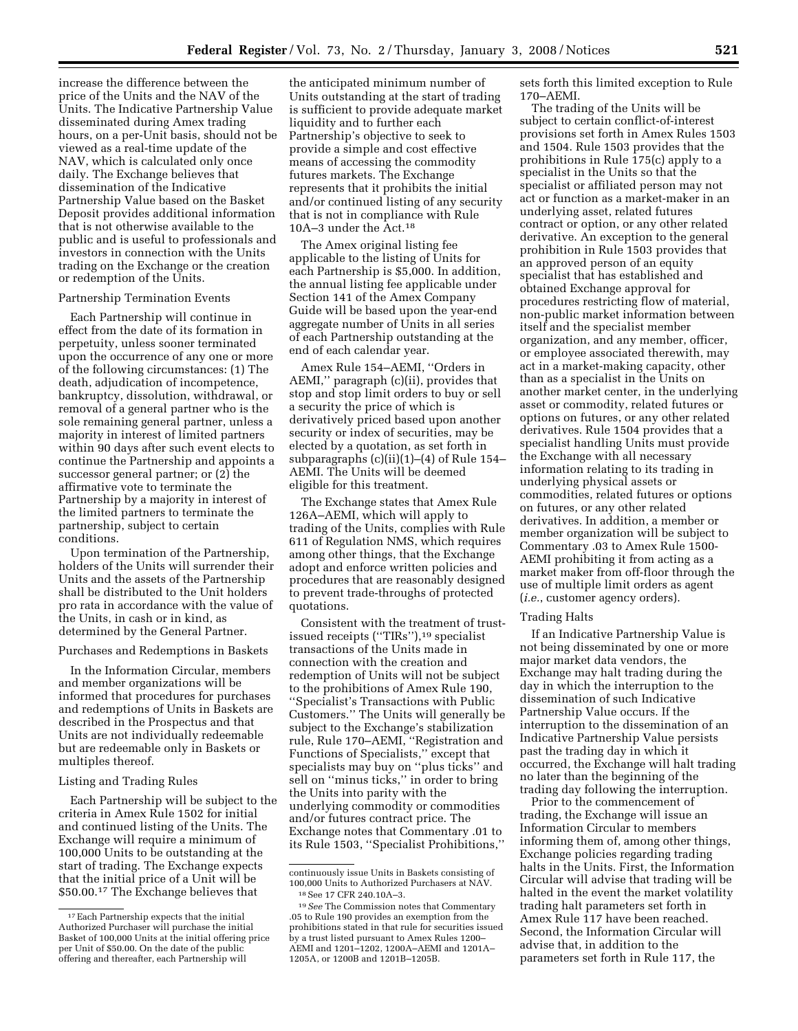increase the difference between the price of the Units and the NAV of the Units. The Indicative Partnership Value disseminated during Amex trading hours, on a per-Unit basis, should not be viewed as a real-time update of the NAV, which is calculated only once daily. The Exchange believes that dissemination of the Indicative Partnership Value based on the Basket Deposit provides additional information that is not otherwise available to the public and is useful to professionals and investors in connection with the Units trading on the Exchange or the creation or redemption of the Units.

## Partnership Termination Events

Each Partnership will continue in effect from the date of its formation in perpetuity, unless sooner terminated upon the occurrence of any one or more of the following circumstances: (1) The death, adjudication of incompetence, bankruptcy, dissolution, withdrawal, or removal of a general partner who is the sole remaining general partner, unless a majority in interest of limited partners within 90 days after such event elects to continue the Partnership and appoints a successor general partner; or (2) the affirmative vote to terminate the Partnership by a majority in interest of the limited partners to terminate the partnership, subject to certain conditions.

Upon termination of the Partnership, holders of the Units will surrender their Units and the assets of the Partnership shall be distributed to the Unit holders pro rata in accordance with the value of the Units, in cash or in kind, as determined by the General Partner.

#### Purchases and Redemptions in Baskets

In the Information Circular, members and member organizations will be informed that procedures for purchases and redemptions of Units in Baskets are described in the Prospectus and that Units are not individually redeemable but are redeemable only in Baskets or multiples thereof.

## Listing and Trading Rules

Each Partnership will be subject to the criteria in Amex Rule 1502 for initial and continued listing of the Units. The Exchange will require a minimum of 100,000 Units to be outstanding at the start of trading. The Exchange expects that the initial price of a Unit will be \$50.00.17 The Exchange believes that

the anticipated minimum number of Units outstanding at the start of trading is sufficient to provide adequate market liquidity and to further each Partnership's objective to seek to provide a simple and cost effective means of accessing the commodity futures markets. The Exchange represents that it prohibits the initial and/or continued listing of any security that is not in compliance with Rule 10A–3 under the Act.18

The Amex original listing fee applicable to the listing of Units for each Partnership is \$5,000. In addition, the annual listing fee applicable under Section 141 of the Amex Company Guide will be based upon the year-end aggregate number of Units in all series of each Partnership outstanding at the end of each calendar year.

Amex Rule 154–AEMI, ''Orders in AEMI,'' paragraph (c)(ii), provides that stop and stop limit orders to buy or sell a security the price of which is derivatively priced based upon another security or index of securities, may be elected by a quotation, as set forth in subparagraphs (c)(ii)(1)–(4) of Rule 154– AEMI. The Units will be deemed eligible for this treatment.

The Exchange states that Amex Rule 126A–AEMI, which will apply to trading of the Units, complies with Rule 611 of Regulation NMS, which requires among other things, that the Exchange adopt and enforce written policies and procedures that are reasonably designed to prevent trade-throughs of protected quotations.

Consistent with the treatment of trustissued receipts (''TIRs''),19 specialist transactions of the Units made in connection with the creation and redemption of Units will not be subject to the prohibitions of Amex Rule 190, ''Specialist's Transactions with Public Customers.'' The Units will generally be subject to the Exchange's stabilization rule, Rule 170–AEMI, ''Registration and Functions of Specialists,'' except that specialists may buy on ''plus ticks'' and sell on ''minus ticks,'' in order to bring the Units into parity with the underlying commodity or commodities and/or futures contract price. The Exchange notes that Commentary .01 to its Rule 1503, ''Specialist Prohibitions,''

sets forth this limited exception to Rule 170–AEMI.

The trading of the Units will be subject to certain conflict-of-interest provisions set forth in Amex Rules 1503 and 1504. Rule 1503 provides that the prohibitions in Rule 175(c) apply to a specialist in the Units so that the specialist or affiliated person may not act or function as a market-maker in an underlying asset, related futures contract or option, or any other related derivative. An exception to the general prohibition in Rule 1503 provides that an approved person of an equity specialist that has established and obtained Exchange approval for procedures restricting flow of material, non-public market information between itself and the specialist member organization, and any member, officer, or employee associated therewith, may act in a market-making capacity, other than as a specialist in the Units on another market center, in the underlying asset or commodity, related futures or options on futures, or any other related derivatives. Rule 1504 provides that a specialist handling Units must provide the Exchange with all necessary information relating to its trading in underlying physical assets or commodities, related futures or options on futures, or any other related derivatives. In addition, a member or member organization will be subject to Commentary .03 to Amex Rule 1500- AEMI prohibiting it from acting as a market maker from off-floor through the use of multiple limit orders as agent (*i.e.*, customer agency orders).

#### Trading Halts

If an Indicative Partnership Value is not being disseminated by one or more major market data vendors, the Exchange may halt trading during the day in which the interruption to the dissemination of such Indicative Partnership Value occurs. If the interruption to the dissemination of an Indicative Partnership Value persists past the trading day in which it occurred, the Exchange will halt trading no later than the beginning of the trading day following the interruption.

Prior to the commencement of trading, the Exchange will issue an Information Circular to members informing them of, among other things, Exchange policies regarding trading halts in the Units. First, the Information Circular will advise that trading will be halted in the event the market volatility trading halt parameters set forth in Amex Rule 117 have been reached. Second, the Information Circular will advise that, in addition to the parameters set forth in Rule 117, the

<sup>17</sup>Each Partnership expects that the initial Authorized Purchaser will purchase the initial Basket of 100,000 Units at the initial offering price per Unit of \$50.00. On the date of the public offering and thereafter, each Partnership will

continuously issue Units in Baskets consisting of 100,000 Units to Authorized Purchasers at NAV. 18See 17 CFR 240.10A–3.

<sup>19</sup>*See* The Commission notes that Commentary .05 to Rule 190 provides an exemption from the prohibitions stated in that rule for securities issued by a trust listed pursuant to Amex Rules 1200– AEMI and 1201–1202, 1200A–AEMI and 1201A– 1205A, or 1200B and 1201B–1205B.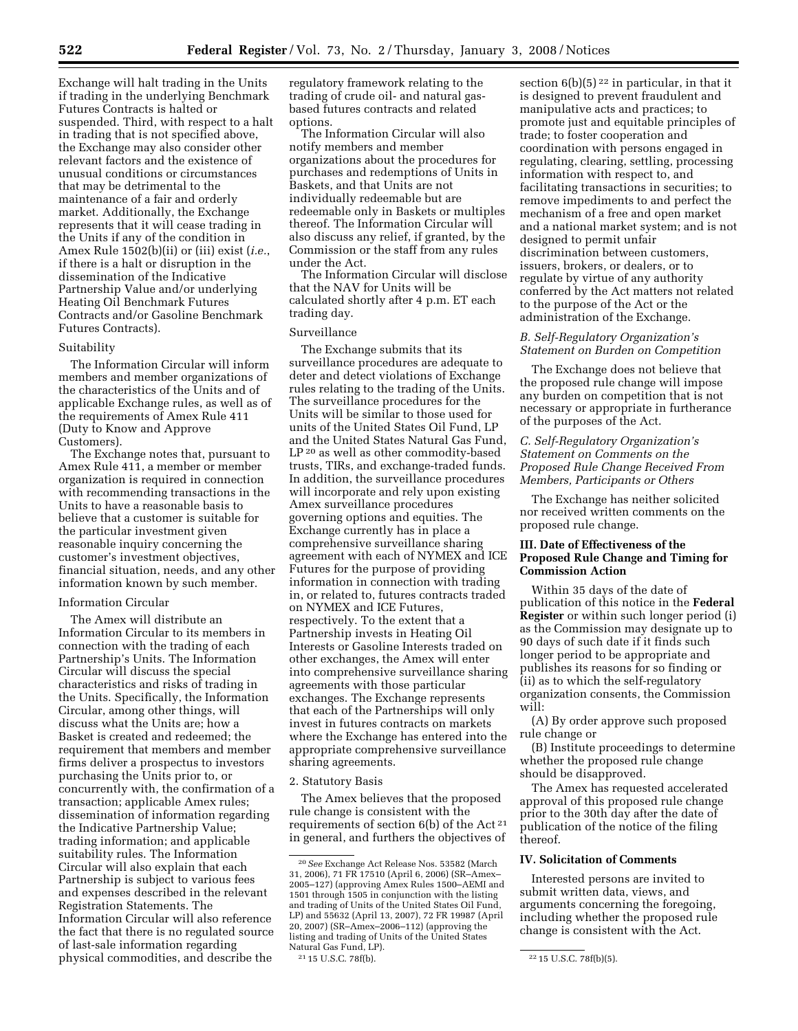Exchange will halt trading in the Units if trading in the underlying Benchmark Futures Contracts is halted or suspended. Third, with respect to a halt in trading that is not specified above, the Exchange may also consider other relevant factors and the existence of unusual conditions or circumstances that may be detrimental to the maintenance of a fair and orderly market. Additionally, the Exchange represents that it will cease trading in the Units if any of the condition in Amex Rule 1502(b)(ii) or (iii) exist (*i.e.*, if there is a halt or disruption in the dissemination of the Indicative Partnership Value and/or underlying Heating Oil Benchmark Futures Contracts and/or Gasoline Benchmark Futures Contracts).

## Suitability

The Information Circular will inform members and member organizations of the characteristics of the Units and of applicable Exchange rules, as well as of the requirements of Amex Rule 411 (Duty to Know and Approve Customers).

The Exchange notes that, pursuant to Amex Rule 411, a member or member organization is required in connection with recommending transactions in the Units to have a reasonable basis to believe that a customer is suitable for the particular investment given reasonable inquiry concerning the customer's investment objectives, financial situation, needs, and any other information known by such member.

## Information Circular

The Amex will distribute an Information Circular to its members in connection with the trading of each Partnership's Units. The Information Circular will discuss the special characteristics and risks of trading in the Units. Specifically, the Information Circular, among other things, will discuss what the Units are; how a Basket is created and redeemed; the requirement that members and member firms deliver a prospectus to investors purchasing the Units prior to, or concurrently with, the confirmation of a transaction; applicable Amex rules; dissemination of information regarding the Indicative Partnership Value; trading information; and applicable suitability rules. The Information Circular will also explain that each Partnership is subject to various fees and expenses described in the relevant Registration Statements. The Information Circular will also reference the fact that there is no regulated source of last-sale information regarding physical commodities, and describe the

regulatory framework relating to the trading of crude oil- and natural gasbased futures contracts and related options.

The Information Circular will also notify members and member organizations about the procedures for purchases and redemptions of Units in Baskets, and that Units are not individually redeemable but are redeemable only in Baskets or multiples thereof. The Information Circular will also discuss any relief, if granted, by the Commission or the staff from any rules under the Act.

The Information Circular will disclose that the NAV for Units will be calculated shortly after 4 p.m. ET each trading day.

## Surveillance

The Exchange submits that its surveillance procedures are adequate to deter and detect violations of Exchange rules relating to the trading of the Units. The surveillance procedures for the Units will be similar to those used for units of the United States Oil Fund, LP and the United States Natural Gas Fund, LP 20 as well as other commodity-based trusts, TIRs, and exchange-traded funds. In addition, the surveillance procedures will incorporate and rely upon existing Amex surveillance procedures governing options and equities. The Exchange currently has in place a comprehensive surveillance sharing agreement with each of NYMEX and ICE Futures for the purpose of providing information in connection with trading in, or related to, futures contracts traded on NYMEX and ICE Futures, respectively. To the extent that a Partnership invests in Heating Oil Interests or Gasoline Interests traded on other exchanges, the Amex will enter into comprehensive surveillance sharing agreements with those particular exchanges. The Exchange represents that each of the Partnerships will only invest in futures contracts on markets where the Exchange has entered into the appropriate comprehensive surveillance sharing agreements.

#### 2. Statutory Basis

The Amex believes that the proposed rule change is consistent with the requirements of section 6(b) of the Act 21 in general, and furthers the objectives of

section  $6(b)(5)^{22}$  in particular, in that it is designed to prevent fraudulent and manipulative acts and practices; to promote just and equitable principles of trade; to foster cooperation and coordination with persons engaged in regulating, clearing, settling, processing information with respect to, and facilitating transactions in securities; to remove impediments to and perfect the mechanism of a free and open market and a national market system; and is not designed to permit unfair discrimination between customers, issuers, brokers, or dealers, or to regulate by virtue of any authority conferred by the Act matters not related

# *B. Self-Regulatory Organization's Statement on Burden on Competition*

to the purpose of the Act or the administration of the Exchange.

The Exchange does not believe that the proposed rule change will impose any burden on competition that is not necessary or appropriate in furtherance of the purposes of the Act.

# *C. Self-Regulatory Organization's Statement on Comments on the Proposed Rule Change Received From Members, Participants or Others*

The Exchange has neither solicited nor received written comments on the proposed rule change.

# **III. Date of Effectiveness of the Proposed Rule Change and Timing for Commission Action**

Within 35 days of the date of publication of this notice in the **Federal Register** or within such longer period (i) as the Commission may designate up to 90 days of such date if it finds such longer period to be appropriate and publishes its reasons for so finding or (ii) as to which the self-regulatory organization consents, the Commission will:

(A) By order approve such proposed rule change or

(B) Institute proceedings to determine whether the proposed rule change should be disapproved.

The Amex has requested accelerated approval of this proposed rule change prior to the 30th day after the date of publication of the notice of the filing thereof.

# **IV. Solicitation of Comments**

Interested persons are invited to submit written data, views, and arguments concerning the foregoing, including whether the proposed rule change is consistent with the Act.

<sup>20</sup>*See* Exchange Act Release Nos. 53582 (March 31, 2006), 71 FR 17510 (April 6, 2006) (SR–Amex– 2005–127) (approving Amex Rules 1500–AEMI and 1501 through 1505 in conjunction with the listing and trading of Units of the United States Oil Fund, LP) and 55632 (April 13, 2007), 72 FR 19987 (April 20, 2007) (SR–Amex–2006–112) (approving the listing and trading of Units of the United States Natural Gas Fund, LP).<br><sup>21</sup> 15 U.S.C. 78f(b).

<sup>&</sup>lt;sup>22</sup> 15 U.S.C. 78f(b)(5).